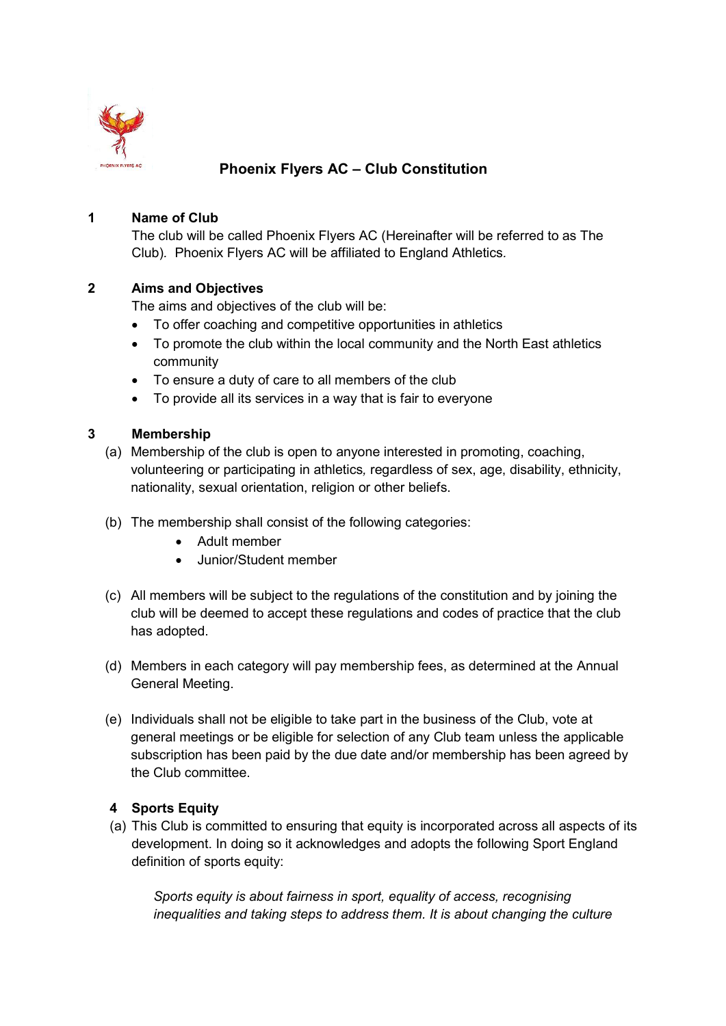

# Phoenix Flyers AC – Club Constitution

## 1 Name of Club

The club will be called Phoenix Flyers AC (Hereinafter will be referred to as The Club). Phoenix Flyers AC will be affiliated to England Athletics.

## 2 Aims and Objectives

The aims and objectives of the club will be:

- To offer coaching and competitive opportunities in athletics
- To promote the club within the local community and the North East athletics community
- To ensure a duty of care to all members of the club
- To provide all its services in a way that is fair to everyone

## 3 Membership

- (a) Membership of the club is open to anyone interested in promoting, coaching, volunteering or participating in athletics, regardless of sex, age, disability, ethnicity, nationality, sexual orientation, religion or other beliefs.
- (b) The membership shall consist of the following categories:
	- Adult member
	- Junior/Student member
- (c) All members will be subject to the regulations of the constitution and by joining the club will be deemed to accept these regulations and codes of practice that the club has adopted.
- (d) Members in each category will pay membership fees, as determined at the Annual General Meeting.
- (e) Individuals shall not be eligible to take part in the business of the Club, vote at general meetings or be eligible for selection of any Club team unless the applicable subscription has been paid by the due date and/or membership has been agreed by the Club committee.

# 4 Sports Equity

(a) This Club is committed to ensuring that equity is incorporated across all aspects of its development. In doing so it acknowledges and adopts the following Sport England definition of sports equity:

Sports equity is about fairness in sport, equality of access, recognising inequalities and taking steps to address them. It is about changing the culture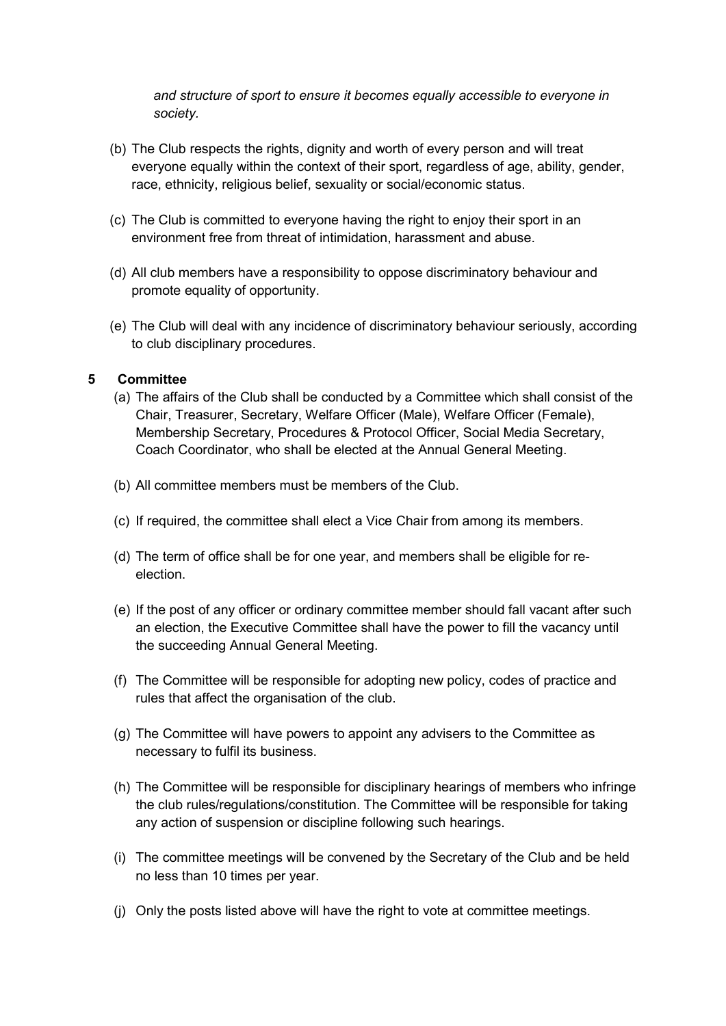and structure of sport to ensure it becomes equally accessible to everyone in society.

- (b) The Club respects the rights, dignity and worth of every person and will treat everyone equally within the context of their sport, regardless of age, ability, gender, race, ethnicity, religious belief, sexuality or social/economic status.
- (c) The Club is committed to everyone having the right to enjoy their sport in an environment free from threat of intimidation, harassment and abuse.
- (d) All club members have a responsibility to oppose discriminatory behaviour and promote equality of opportunity.
- (e) The Club will deal with any incidence of discriminatory behaviour seriously, according to club disciplinary procedures.

### 5 Committee

- (a) The affairs of the Club shall be conducted by a Committee which shall consist of the Chair, Treasurer, Secretary, Welfare Officer (Male), Welfare Officer (Female), Membership Secretary, Procedures & Protocol Officer, Social Media Secretary, Coach Coordinator, who shall be elected at the Annual General Meeting.
- (b) All committee members must be members of the Club.
- (c) If required, the committee shall elect a Vice Chair from among its members.
- (d) The term of office shall be for one year, and members shall be eligible for reelection.
- (e) If the post of any officer or ordinary committee member should fall vacant after such an election, the Executive Committee shall have the power to fill the vacancy until the succeeding Annual General Meeting.
- (f) The Committee will be responsible for adopting new policy, codes of practice and rules that affect the organisation of the club.
- (g) The Committee will have powers to appoint any advisers to the Committee as necessary to fulfil its business.
- (h) The Committee will be responsible for disciplinary hearings of members who infringe the club rules/regulations/constitution. The Committee will be responsible for taking any action of suspension or discipline following such hearings.
- (i) The committee meetings will be convened by the Secretary of the Club and be held no less than 10 times per year.
- (j) Only the posts listed above will have the right to vote at committee meetings.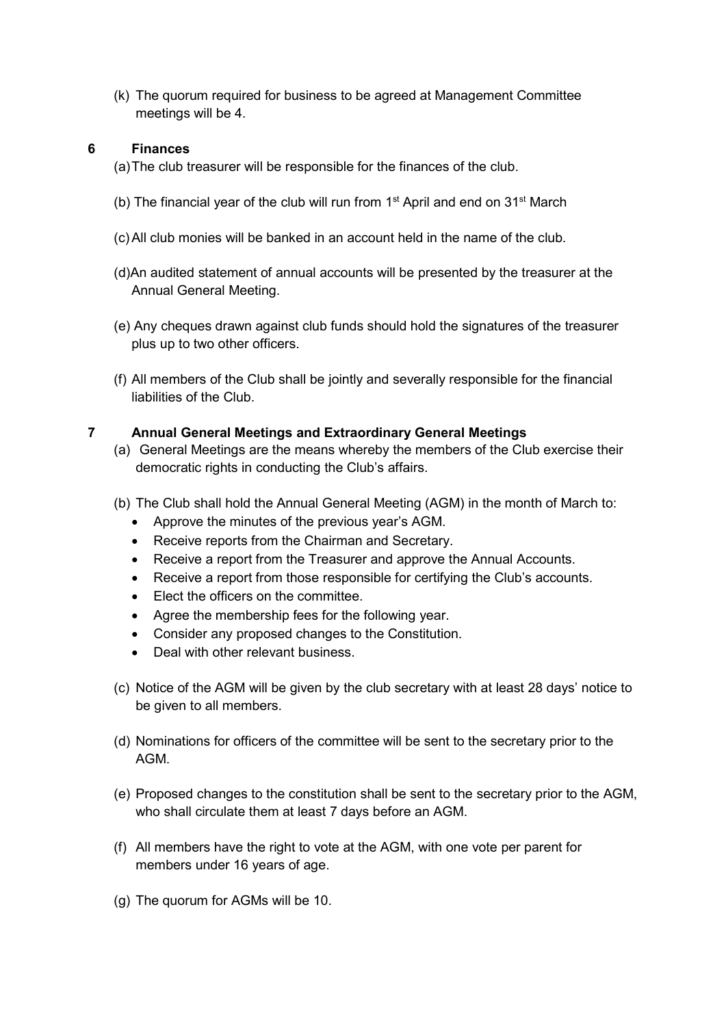(k) The quorum required for business to be agreed at Management Committee meetings will be 4.

# 6 Finances

(a) The club treasurer will be responsible for the finances of the club.

- (b) The financial year of the club will run from  $1<sup>st</sup>$  April and end on  $31<sup>st</sup>$  March
- (c) All club monies will be banked in an account held in the name of the club.
- (d)An audited statement of annual accounts will be presented by the treasurer at the Annual General Meeting.
- (e) Any cheques drawn against club funds should hold the signatures of the treasurer plus up to two other officers.
- (f) All members of the Club shall be jointly and severally responsible for the financial liabilities of the Club.

## 7 Annual General Meetings and Extraordinary General Meetings

- (a) General Meetings are the means whereby the members of the Club exercise their democratic rights in conducting the Club's affairs.
- (b) The Club shall hold the Annual General Meeting (AGM) in the month of March to:
	- Approve the minutes of the previous year's AGM.
	- Receive reports from the Chairman and Secretary.
	- Receive a report from the Treasurer and approve the Annual Accounts.
	- Receive a report from those responsible for certifying the Club's accounts.
	- Elect the officers on the committee.
	- Agree the membership fees for the following year.
	- Consider any proposed changes to the Constitution.
	- Deal with other relevant business
- (c) Notice of the AGM will be given by the club secretary with at least 28 days' notice to be given to all members.
- (d) Nominations for officers of the committee will be sent to the secretary prior to the AGM.
- (e) Proposed changes to the constitution shall be sent to the secretary prior to the AGM, who shall circulate them at least 7 days before an AGM.
- (f) All members have the right to vote at the AGM, with one vote per parent for members under 16 years of age.
- (g) The quorum for AGMs will be 10.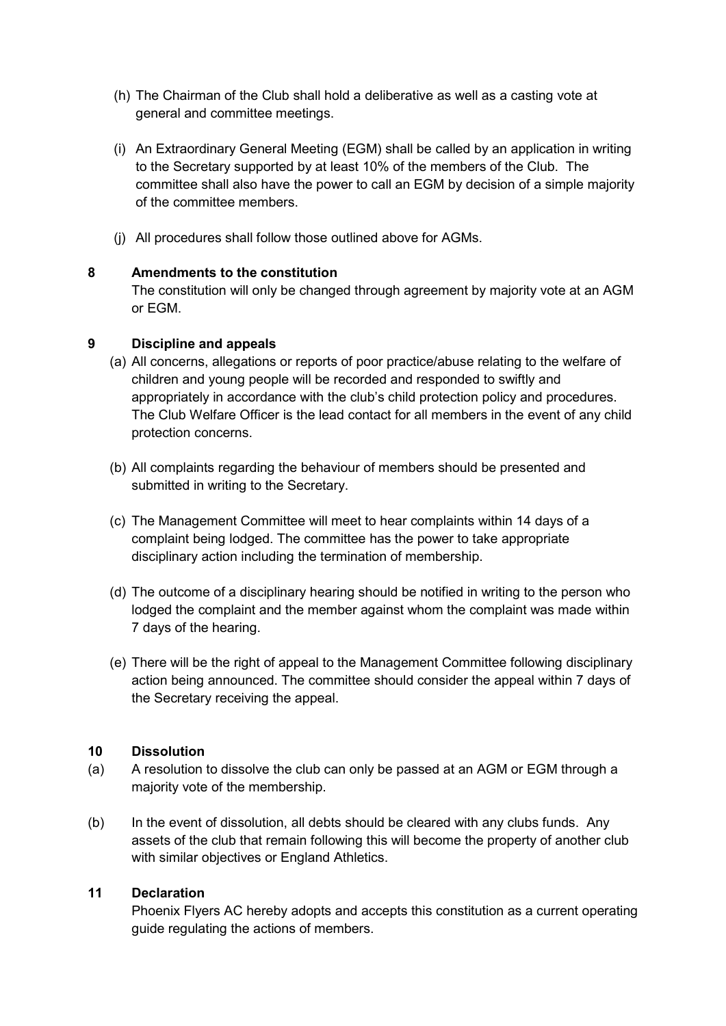- (h) The Chairman of the Club shall hold a deliberative as well as a casting vote at general and committee meetings.
- (i) An Extraordinary General Meeting (EGM) shall be called by an application in writing to the Secretary supported by at least 10% of the members of the Club. The committee shall also have the power to call an EGM by decision of a simple majority of the committee members.
- (j) All procedures shall follow those outlined above for AGMs.

# 8 Amendments to the constitution

The constitution will only be changed through agreement by majority vote at an AGM or EGM.

### 9 Discipline and appeals

- (a) All concerns, allegations or reports of poor practice/abuse relating to the welfare of children and young people will be recorded and responded to swiftly and appropriately in accordance with the club's child protection policy and procedures. The Club Welfare Officer is the lead contact for all members in the event of any child protection concerns.
- (b) All complaints regarding the behaviour of members should be presented and submitted in writing to the Secretary.
- (c) The Management Committee will meet to hear complaints within 14 days of a complaint being lodged. The committee has the power to take appropriate disciplinary action including the termination of membership.
- (d) The outcome of a disciplinary hearing should be notified in writing to the person who lodged the complaint and the member against whom the complaint was made within 7 days of the hearing.
- (e) There will be the right of appeal to the Management Committee following disciplinary action being announced. The committee should consider the appeal within 7 days of the Secretary receiving the appeal.

### 10 Dissolution

- (a) A resolution to dissolve the club can only be passed at an AGM or EGM through a majority vote of the membership.
- (b) In the event of dissolution, all debts should be cleared with any clubs funds. Any assets of the club that remain following this will become the property of another club with similar objectives or England Athletics.

### 11 Declaration

Phoenix Flyers AC hereby adopts and accepts this constitution as a current operating guide regulating the actions of members.